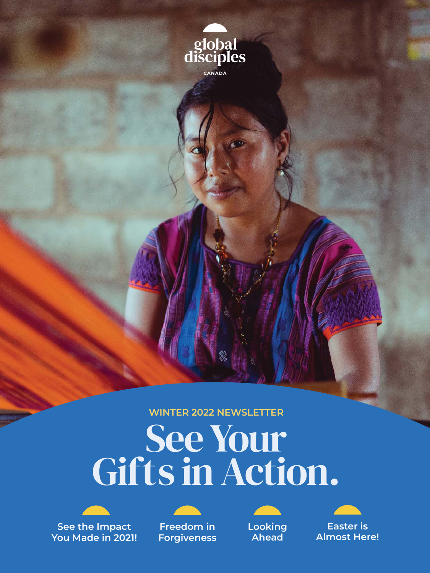

**WINTER 2022 NEWSLETTER**

# See Your Gifts in Action.



**See the Impact You Made in 2021!**



**Freedom in Forgiveness**



**Looking Ahead**



**Easter is Almost Here!**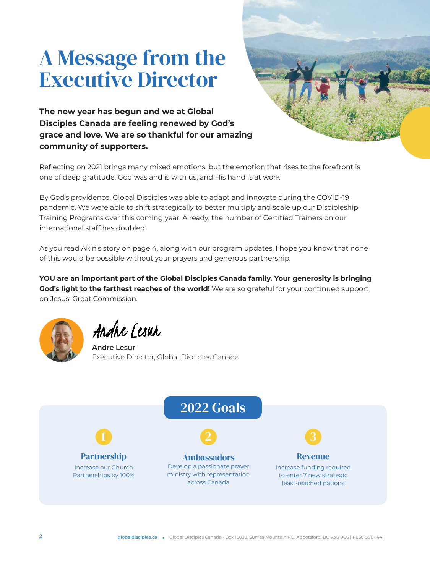# A Message from the Executive Director



**The new year has begun and we at Global Disciples Canada are feeling renewed by God's grace and love. We are so thankful for our amazing community of supporters.**

Reflecting on 2021 brings many mixed emotions, but the emotion that rises to the forefront is one of deep gratitude. God was and is with us, and His hand is at work.

By God's providence, Global Disciples was able to adapt and innovate during the COVID-19 pandemic. We were able to shift strategically to better multiply and scale up our Discipleship Training Programs over this coming year. Already, the number of Certified Trainers on our international staff has doubled!

As you read Akin's story on page 4, along with our program updates, I hope you know that none of this would be possible without your prayers and generous partnership.

**YOU are an important part of the Global Disciples Canada family. Your generosity is bringing God's light to the farthest reaches of the world!** We are so grateful for your continued support on Jesus' Great Commission.



Andre Lesur

**Andre Lesur** Executive Director, Global Disciples Canada

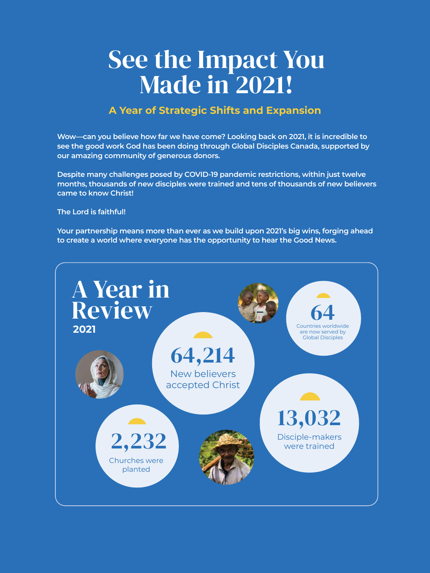# See the Impact You Made in 2021!

### **A Year of Strategic Shifts and Expansion**

**Wow—can you believe how far we have come? Looking back on 2021, it is incredible to see the good work God has been doing through Global Disciples Canada, supported by our amazing community of generous donors.**

**Despite many challenges posed by COVID-19 pandemic restrictions, within just twelve months, thousands of new disciples were trained and tens of thousands of new believers came to know Christ!**

#### **The Lord is faithful!**

**Your partnership means more than ever as we build upon 2021's big wins, forging ahead to create a world where everyone has the opportunity to hear the Good News.**

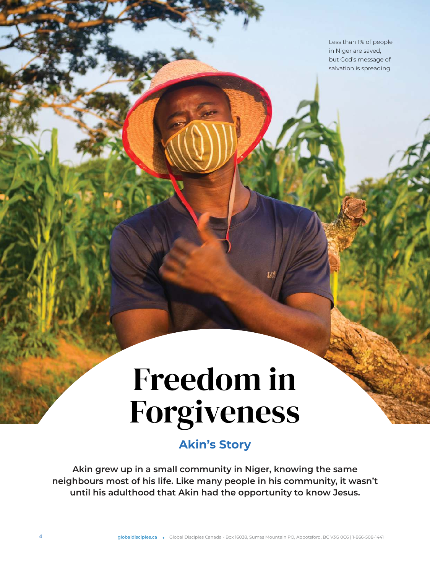Less than 1% of people in Niger are saved, but God's message of salvation is spreading.

# Freedom in Forgiveness

## **Akin's Story**

**Akin grew up in a small community in Niger, knowing the same neighbours most of his life. Like many people in his community, it wasn't until his adulthood that Akin had the opportunity to know Jesus.**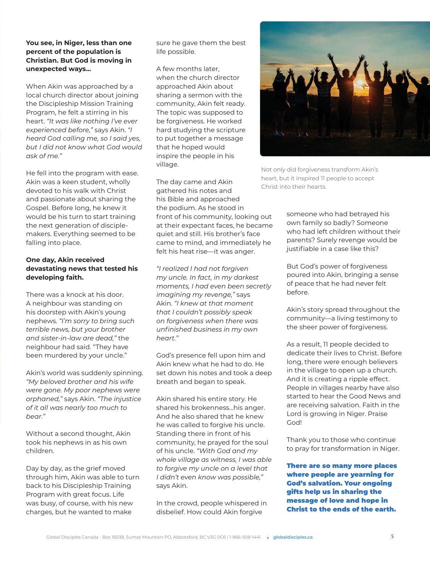#### **You see, in Niger, less than one percent of the population is Christian. But God is moving in unexpected ways...**

When Akin was approached by a local church director about joining the Discipleship Mission Training Program, he felt a stirring in his heart. *"It was like nothing I've ever experienced before,"* says Akin. *"I heard God calling me, so I said yes, but I did not know what God would ask of me."*

He fell into the program with ease. Akin was a keen student, wholly devoted to his walk with Christ and passionate about sharing the Gospel. Before long, he knew it would be his turn to start training the next generation of disciplemakers. Everything seemed to be falling into place.

#### **One day, Akin received devastating news that tested his developing faith.**

There was a knock at his door. A neighbour was standing on his doorstep with Akin's young nephews. *"I'm sorry to bring such terrible news, but your brother and sister-in-law are dead,"* the neighbour had said. "They have been murdered by your uncle."

Akin's world was suddenly spinning. *"My beloved brother and his wife were gone. My poor nephews were orphaned,"* says Akin. *"The injustice of it all was nearly too much to bear."*

Without a second thought, Akin took his nephews in as his own children.

Day by day, as the grief moved through him, Akin was able to turn back to his Discipleship Training Program with great focus. Life was busy, of course, with his new charges, but he wanted to make

sure he gave them the best life possible.

A few months later, when the church director approached Akin about sharing a sermon with the community, Akin felt ready. The topic was supposed to be forgiveness. He worked hard studying the scripture to put together a message that he hoped would inspire the people in his village.

The day came and Akin gathered his notes and his Bible and approached the podium. As he stood in front of his community, looking out at their expectant faces, he became quiet and still. His brother's face came to mind, and immediately he felt his heat rise—it was anger.

*"I realized I had not forgiven my uncle. In fact, in my darkest moments, I had even been secretly imagining my revenge,"* says Akin. *"I knew at that moment that I couldn't possibly speak on forgiveness when there was unfinished business in my own heart."*

God's presence fell upon him and Akin knew what he had to do. He set down his notes and took a deep breath and began to speak.

Akin shared his entire story. He shared his brokenness...his anger. And he also shared that he knew he was called to forgive his uncle. Standing there in front of his community, he prayed for the soul of his uncle. *"With God and my whole village as witness, I was able to forgive my uncle on a level that I didn't even know was possible,"* says Akin.

In the crowd, people whispered in disbelief. How could Akin forgive



Not only did forgiveness transform Akin's heart, but it inspired 11 people to accept Christ into their hearts.

someone who had betrayed his own family so badly? Someone who had left children without their parents? Surely revenge would be justifiable in a case like this?

But God's power of forgiveness poured into Akin, bringing a sense of peace that he had never felt before.

Akin's story spread throughout the community—a living testimony to the sheer power of forgiveness.

As a result, 11 people decided to dedicate their lives to Christ. Before long, there were enough believers in the village to open up a church. And it is creating a ripple effect. People in villages nearby have also started to hear the Good News and are receiving salvation. Faith in the Lord is growing in Niger. Praise God!

Thank you to those who continue to pray for transformation in Niger.

There are so many more places where people are yearning for God's salvation. Your ongoing gifts help us in sharing the message of love and hope in Christ to the ends of the earth.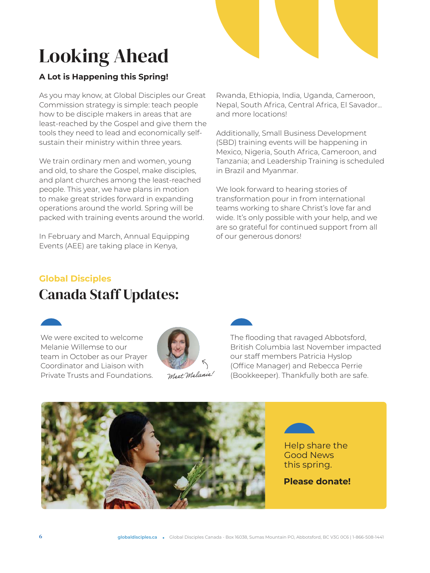# Looking Ahead

### **A Lot is Happening this Spring!**

As you may know, at Global Disciples our Great Commission strategy is simple: teach people how to be disciple makers in areas that are least-reached by the Gospel and give them the tools they need to lead and economically selfsustain their ministry within three years.

We train ordinary men and women, young and old, to share the Gospel, make disciples, and plant churches among the least-reached people. This year, we have plans in motion to make great strides forward in expanding operations around the world. Spring will be packed with training events around the world.

In February and March, Annual Equipping Events (AEE) are taking place in Kenya,

Rwanda, Ethiopia, India, Uganda, Cameroon, Nepal, South Africa, Central Africa, El Savador... and more locations!

Additionally, Small Business Development (SBD) training events will be happening in Mexico, Nigeria, South Africa, Cameroon, and Tanzania; and Leadership Training is scheduled in Brazil and Myanmar.

We look forward to hearing stories of transformation pour in from international teams working to share Christ's love far and wide. It's only possible with your help, and we are so grateful for continued support from all of our generous donors!

### **Global Disciples**  Canada Staff Updates:



We were excited to welcome Melanie Willemse to our team in October as our Prayer Coordinator and Liaison with Private Trusts and Foundations.



Meet Melanie!



The flooding that ravaged Abbotsford, British Columbia last November impacted our staff members Patricia Hyslop (Office Manager) and Rebecca Perrie (Bookkeeper). Thankfully both are safe.

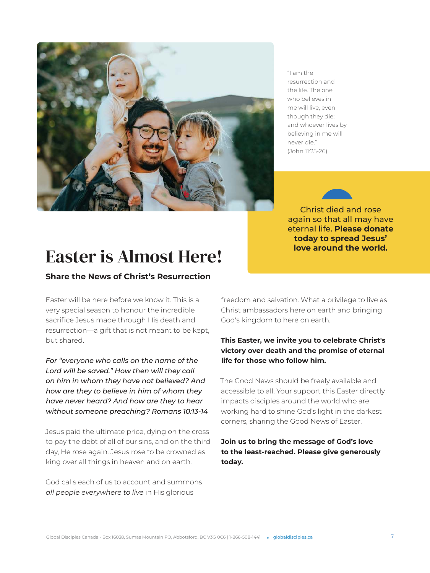

"I am the resurrection and the life. The one who believes in me will live, even though they die; and whoever lives by believing in me will never die." (John 11:25-26)

Christ died and rose again so that all may have eternal life. **Please donate today to spread Jesus' love around the world.**

## Easter is Almost Here!

### **Share the News of Christ's Resurrection**

Easter will be here before we know it. This is a very special season to honour the incredible sacrifice Jesus made through His death and resurrection—a gift that is not meant to be kept, but shared.

*For "everyone who calls on the name of the Lord will be saved." How then will they call on him in whom they have not believed? And how are they to believe in him of whom they have never heard? And how are they to hear without someone preaching? Romans 10:13-14*

Jesus paid the ultimate price, dying on the cross to pay the debt of all of our sins, and on the third day, He rose again. Jesus rose to be crowned as king over all things in heaven and on earth.

God calls each of us to account and summons *all people everywhere to live* in His glorious

freedom and salvation. What a privilege to live as Christ ambassadors here on earth and bringing God's kingdom to here on earth.

#### **This Easter, we invite you to celebrate Christ's victory over death and the promise of eternal life for those who follow him.**

The Good News should be freely available and accessible to all. Your support this Easter directly impacts disciples around the world who are working hard to shine God's light in the darkest corners, sharing the Good News of Easter.

#### **Join us to bring the message of God's love to the least-reached. Please give generously today.**